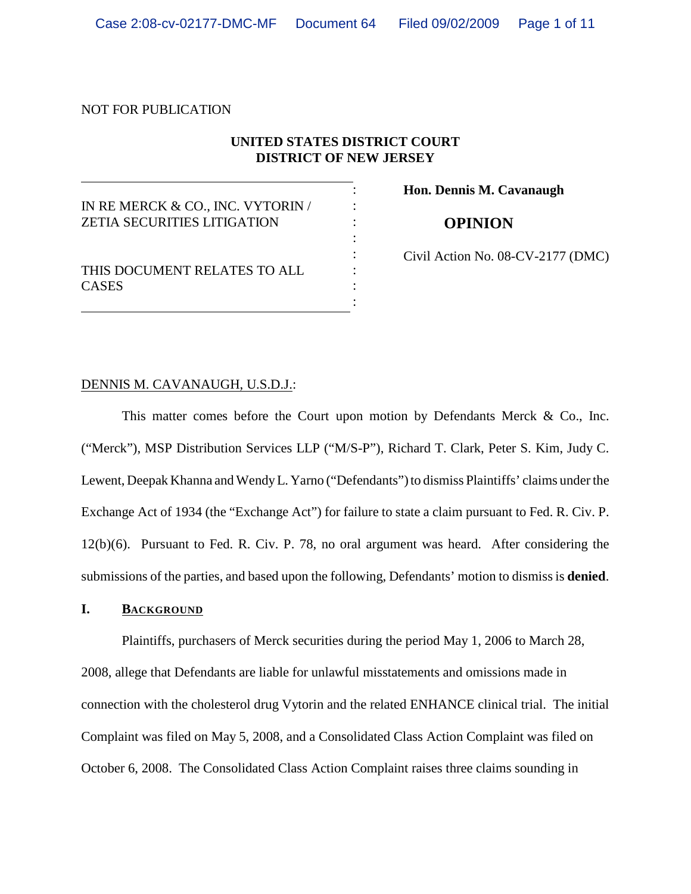NOT FOR PUBLICATION

## **UNITED STATES DISTRICT COURT DISTRICT OF NEW JERSEY**

|                                                                         | Hon. Dennis M. Cavanaugh          |
|-------------------------------------------------------------------------|-----------------------------------|
| IN RE MERCK & CO., INC. VYTORIN /<br><b>ZETIA SECURITIES LITIGATION</b> | <b>OPINION</b>                    |
| THIS DOCUMENT RELATES TO ALL<br><b>CASES</b>                            | Civil Action No. 08-CV-2177 (DMC) |

### DENNIS M. CAVANAUGH, U.S.D.J.:

This matter comes before the Court upon motion by Defendants Merck & Co., Inc. ("Merck"), MSP Distribution Services LLP ("M/S-P"), Richard T. Clark, Peter S. Kim, Judy C. Lewent, Deepak Khanna and Wendy L. Yarno ("Defendants") to dismiss Plaintiffs' claims under the Exchange Act of 1934 (the "Exchange Act") for failure to state a claim pursuant to Fed. R. Civ. P. 12(b)(6). Pursuant to Fed. R. Civ. P. 78, no oral argument was heard. After considering the submissions of the parties, and based upon the following, Defendants' motion to dismiss is **denied**.

#### **I. BACKGROUND**

Plaintiffs, purchasers of Merck securities during the period May 1, 2006 to March 28, 2008, allege that Defendants are liable for unlawful misstatements and omissions made in connection with the cholesterol drug Vytorin and the related ENHANCE clinical trial. The initial Complaint was filed on May 5, 2008, and a Consolidated Class Action Complaint was filed on October 6, 2008. The Consolidated Class Action Complaint raises three claims sounding in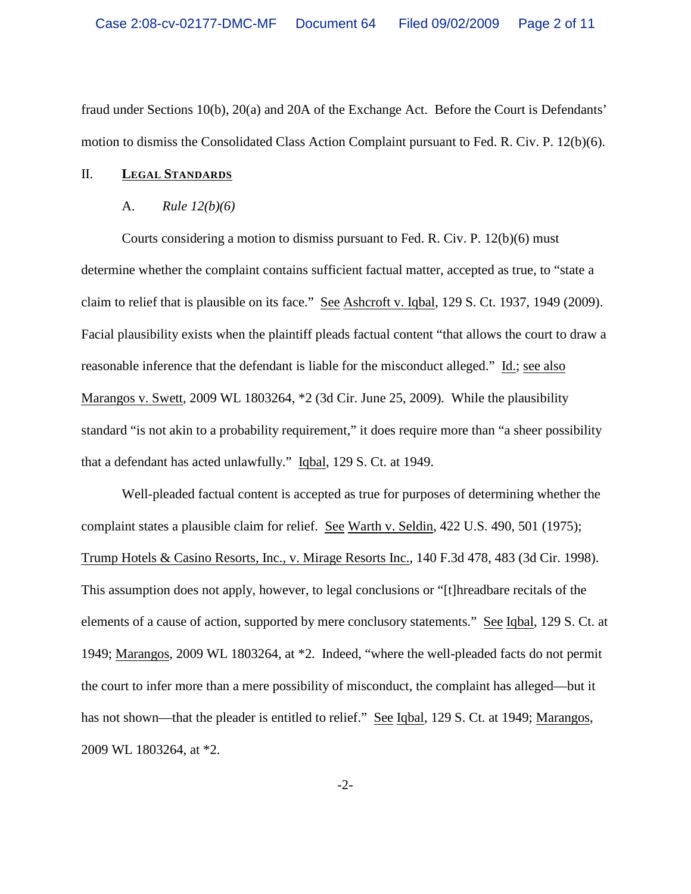fraud under Sections 10(b), 20(a) and 20A of the Exchange Act. Before the Court is Defendants' motion to dismiss the Consolidated Class Action Complaint pursuant to Fed. R. Civ. P. 12(b)(6).

### II. **LEGAL STANDARDS**

#### A. *Rule 12(b)(6)*

Courts considering a motion to dismiss pursuant to Fed. R. Civ. P. 12(b)(6) must determine whether the complaint contains sufficient factual matter, accepted as true, to "state a claim to relief that is plausible on its face." See Ashcroft v. Iqbal, 129 S. Ct. 1937, 1949 (2009). Facial plausibility exists when the plaintiff pleads factual content "that allows the court to draw a reasonable inference that the defendant is liable for the misconduct alleged." Id.; see also Marangos v. Swett, 2009 WL 1803264, \*2 (3d Cir. June 25, 2009). While the plausibility standard "is not akin to a probability requirement," it does require more than "a sheer possibility that a defendant has acted unlawfully." Iqbal, 129 S. Ct. at 1949.

Well-pleaded factual content is accepted as true for purposes of determining whether the complaint states a plausible claim for relief. See Warth v. Seldin, 422 U.S. 490, 501 (1975); Trump Hotels & Casino Resorts, Inc., v. Mirage Resorts Inc., 140 F.3d 478, 483 (3d Cir. 1998). This assumption does not apply, however, to legal conclusions or "[t]hreadbare recitals of the elements of a cause of action, supported by mere conclusory statements." See Iqbal, 129 S. Ct. at 1949; Marangos, 2009 WL 1803264, at \*2. Indeed, "where the well-pleaded facts do not permit the court to infer more than a mere possibility of misconduct, the complaint has alleged—but it has not shown—that the pleader is entitled to relief." See Iqbal, 129 S. Ct. at 1949; Marangos, 2009 WL 1803264, at \*2.

-2-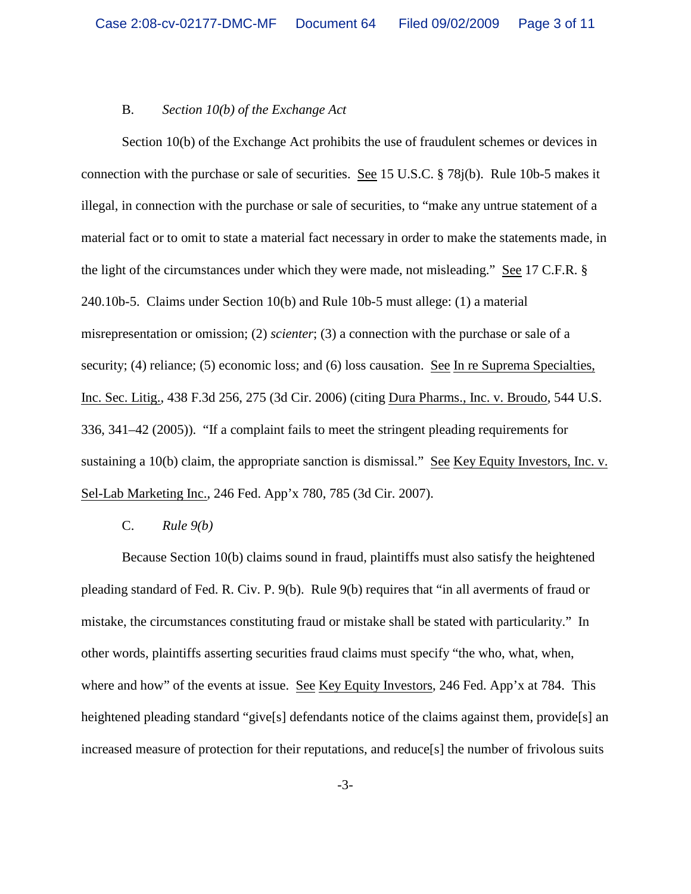#### B. *Section 10(b) of the Exchange Act*

Section 10(b) of the Exchange Act prohibits the use of fraudulent schemes or devices in connection with the purchase or sale of securities. See 15 U.S.C. § 78j(b). Rule 10b-5 makes it illegal, in connection with the purchase or sale of securities, to "make any untrue statement of a material fact or to omit to state a material fact necessary in order to make the statements made, in the light of the circumstances under which they were made, not misleading." See 17 C.F.R. § 240.10b-5. Claims under Section 10(b) and Rule 10b-5 must allege: (1) a material misrepresentation or omission; (2) *scienter*; (3) a connection with the purchase or sale of a security; (4) reliance; (5) economic loss; and (6) loss causation. See In re Suprema Specialties, Inc. Sec. Litig., 438 F.3d 256, 275 (3d Cir. 2006) (citing Dura Pharms., Inc. v. Broudo, 544 U.S. 336, 341–42 (2005)). "If a complaint fails to meet the stringent pleading requirements for sustaining a 10(b) claim, the appropriate sanction is dismissal." See Key Equity Investors, Inc. v. Sel-Lab Marketing Inc., 246 Fed. App'x 780, 785 (3d Cir. 2007).

#### C. *Rule 9(b)*

Because Section 10(b) claims sound in fraud, plaintiffs must also satisfy the heightened pleading standard of Fed. R. Civ. P. 9(b). Rule 9(b) requires that "in all averments of fraud or mistake, the circumstances constituting fraud or mistake shall be stated with particularity." In other words, plaintiffs asserting securities fraud claims must specify "the who, what, when, where and how" of the events at issue. See Key Equity Investors, 246 Fed. App'x at 784. This heightened pleading standard "give<sup>[5]</sup> defendants notice of the claims against them, provide<sup>[5]</sup> an increased measure of protection for their reputations, and reduce[s] the number of frivolous suits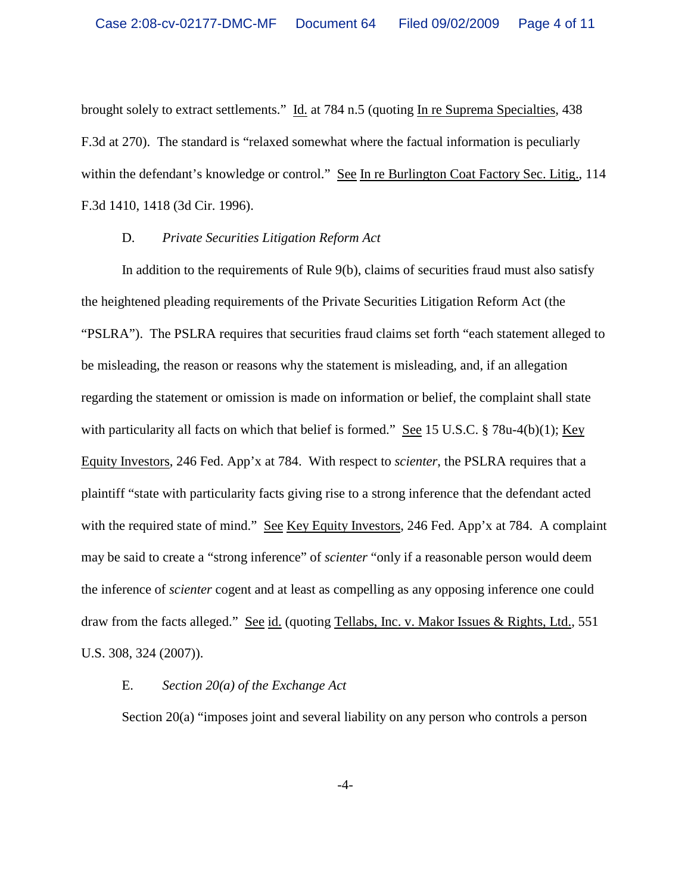brought solely to extract settlements." Id. at 784 n.5 (quoting In re Suprema Specialties, 438 F.3d at 270). The standard is "relaxed somewhat where the factual information is peculiarly within the defendant's knowledge or control." See In re Burlington Coat Factory Sec. Litig., 114 F.3d 1410, 1418 (3d Cir. 1996).

### D. *Private Securities Litigation Reform Act*

In addition to the requirements of Rule 9(b), claims of securities fraud must also satisfy the heightened pleading requirements of the Private Securities Litigation Reform Act (the "PSLRA"). The PSLRA requires that securities fraud claims set forth "each statement alleged to be misleading, the reason or reasons why the statement is misleading, and, if an allegation regarding the statement or omission is made on information or belief, the complaint shall state with particularity all facts on which that belief is formed." See 15 U.S.C. § 78u-4(b)(1); Key Equity Investors, 246 Fed. App'x at 784. With respect to *scienter*, the PSLRA requires that a plaintiff "state with particularity facts giving rise to a strong inference that the defendant acted with the required state of mind." See Key Equity Investors, 246 Fed. App'x at 784. A complaint may be said to create a "strong inference" of *scienter* "only if a reasonable person would deem the inference of *scienter* cogent and at least as compelling as any opposing inference one could draw from the facts alleged." See id. (quoting Tellabs, Inc. v. Makor Issues & Rights, Ltd., 551 U.S. 308, 324 (2007)).

### E. *Section 20(a) of the Exchange Act*

Section 20(a) "imposes joint and several liability on any person who controls a person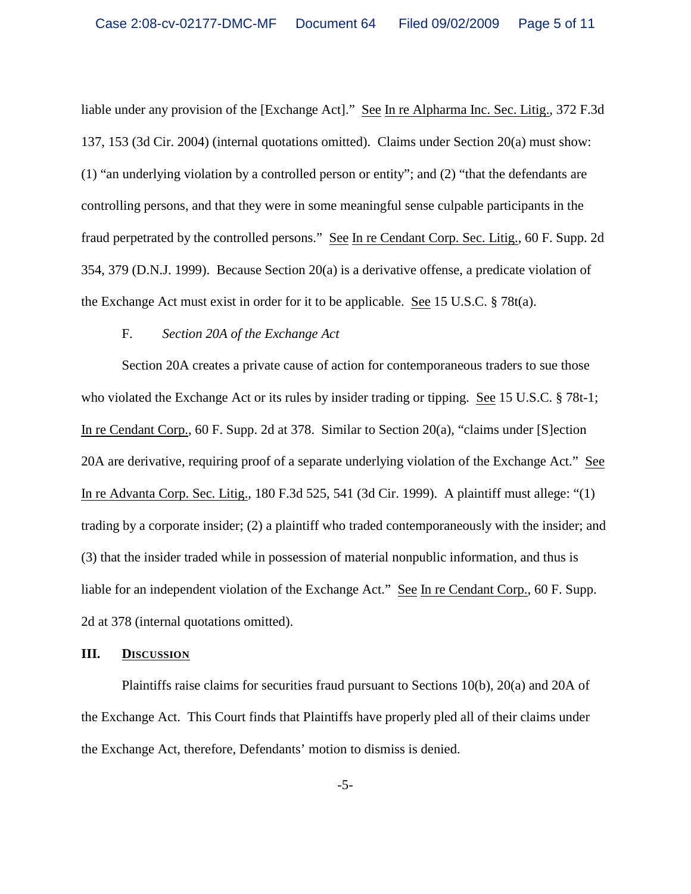liable under any provision of the [Exchange Act]." See In re Alpharma Inc. Sec. Litig., 372 F.3d 137, 153 (3d Cir. 2004) (internal quotations omitted). Claims under Section 20(a) must show: (1) "an underlying violation by a controlled person or entity"; and (2) "that the defendants are controlling persons, and that they were in some meaningful sense culpable participants in the fraud perpetrated by the controlled persons." See In re Cendant Corp. Sec. Litig., 60 F. Supp. 2d 354, 379 (D.N.J. 1999). Because Section 20(a) is a derivative offense, a predicate violation of the Exchange Act must exist in order for it to be applicable. See 15 U.S.C. § 78t(a).

#### F. *Section 20A of the Exchange Act*

Section 20A creates a private cause of action for contemporaneous traders to sue those who violated the Exchange Act or its rules by insider trading or tipping. See 15 U.S.C. § 78t-1; In re Cendant Corp., 60 F. Supp. 2d at 378. Similar to Section 20(a), "claims under [S]ection 20A are derivative, requiring proof of a separate underlying violation of the Exchange Act." See In re Advanta Corp. Sec. Litig., 180 F.3d 525, 541 (3d Cir. 1999). A plaintiff must allege: "(1) trading by a corporate insider; (2) a plaintiff who traded contemporaneously with the insider; and (3) that the insider traded while in possession of material nonpublic information, and thus is liable for an independent violation of the Exchange Act." See In re Cendant Corp., 60 F. Supp. 2d at 378 (internal quotations omitted).

#### **III. DISCUSSION**

Plaintiffs raise claims for securities fraud pursuant to Sections 10(b), 20(a) and 20A of the Exchange Act. This Court finds that Plaintiffs have properly pled all of their claims under the Exchange Act, therefore, Defendants' motion to dismiss is denied.

-5-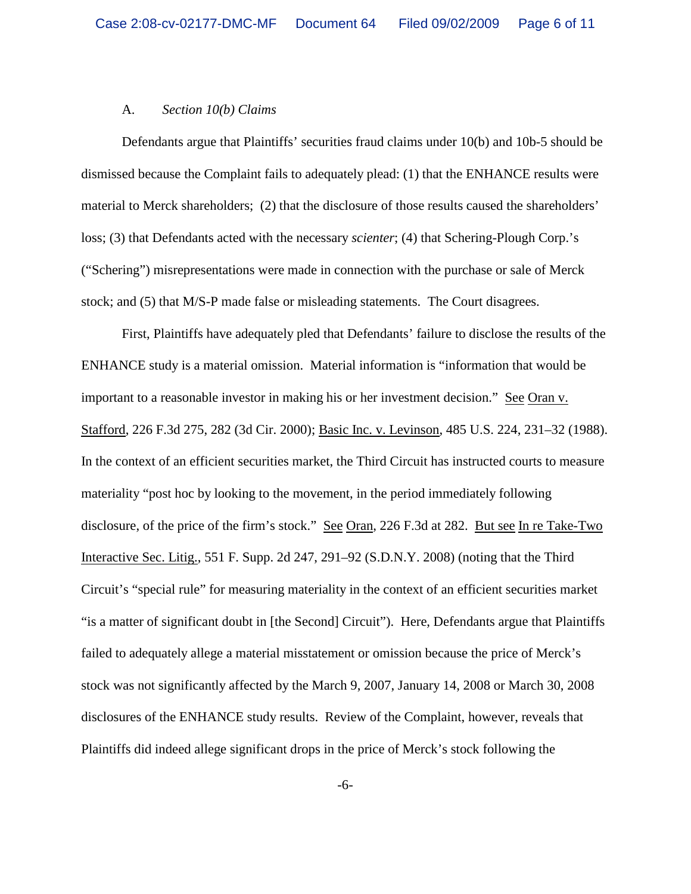#### A. *Section 10(b) Claims*

Defendants argue that Plaintiffs' securities fraud claims under 10(b) and 10b-5 should be dismissed because the Complaint fails to adequately plead: (1) that the ENHANCE results were material to Merck shareholders; (2) that the disclosure of those results caused the shareholders' loss; (3) that Defendants acted with the necessary *scienter*; (4) that Schering-Plough Corp.'s ("Schering") misrepresentations were made in connection with the purchase or sale of Merck stock; and (5) that M/S-P made false or misleading statements. The Court disagrees.

First, Plaintiffs have adequately pled that Defendants' failure to disclose the results of the ENHANCE study is a material omission. Material information is "information that would be important to a reasonable investor in making his or her investment decision." See Oran v. Stafford, 226 F.3d 275, 282 (3d Cir. 2000); Basic Inc. v. Levinson, 485 U.S. 224, 231–32 (1988). In the context of an efficient securities market, the Third Circuit has instructed courts to measure materiality "post hoc by looking to the movement, in the period immediately following disclosure, of the price of the firm's stock." See Oran, 226 F.3d at 282. But see In re Take-Two Interactive Sec. Litig., 551 F. Supp. 2d 247, 291–92 (S.D.N.Y. 2008) (noting that the Third Circuit's "special rule" for measuring materiality in the context of an efficient securities market "is a matter of significant doubt in [the Second] Circuit"). Here, Defendants argue that Plaintiffs failed to adequately allege a material misstatement or omission because the price of Merck's stock was not significantly affected by the March 9, 2007, January 14, 2008 or March 30, 2008 disclosures of the ENHANCE study results. Review of the Complaint, however, reveals that Plaintiffs did indeed allege significant drops in the price of Merck's stock following the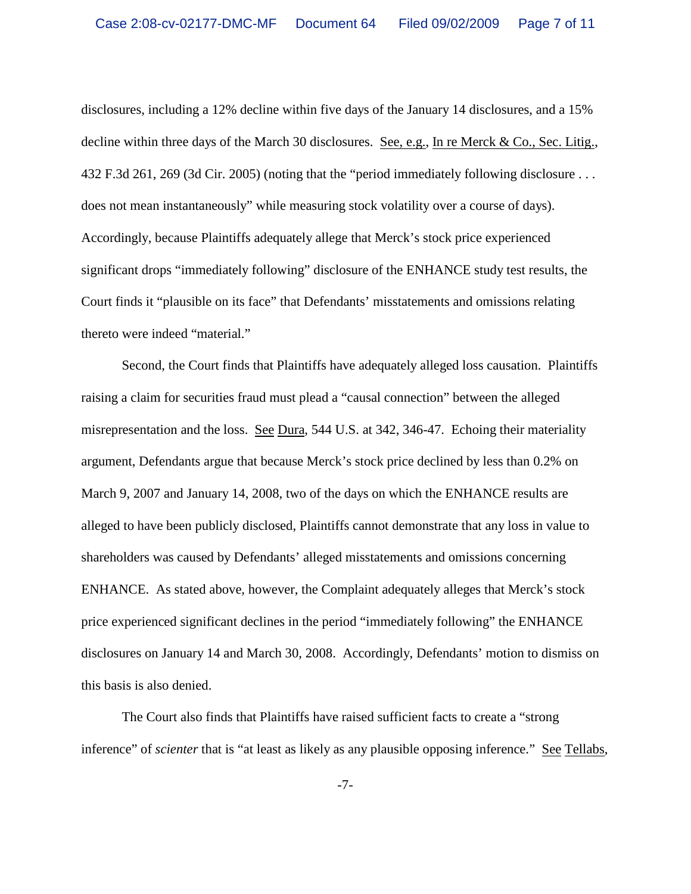disclosures, including a 12% decline within five days of the January 14 disclosures, and a 15% decline within three days of the March 30 disclosures. See, e.g., In re Merck & Co., Sec. Litig., 432 F.3d 261, 269 (3d Cir. 2005) (noting that the "period immediately following disclosure . . . does not mean instantaneously" while measuring stock volatility over a course of days). Accordingly, because Plaintiffs adequately allege that Merck's stock price experienced significant drops "immediately following" disclosure of the ENHANCE study test results, the Court finds it "plausible on its face" that Defendants' misstatements and omissions relating thereto were indeed "material."

Second, the Court finds that Plaintiffs have adequately alleged loss causation. Plaintiffs raising a claim for securities fraud must plead a "causal connection" between the alleged misrepresentation and the loss. See Dura, 544 U.S. at 342, 346-47. Echoing their materiality argument, Defendants argue that because Merck's stock price declined by less than 0.2% on March 9, 2007 and January 14, 2008, two of the days on which the ENHANCE results are alleged to have been publicly disclosed, Plaintiffs cannot demonstrate that any loss in value to shareholders was caused by Defendants' alleged misstatements and omissions concerning ENHANCE. As stated above, however, the Complaint adequately alleges that Merck's stock price experienced significant declines in the period "immediately following" the ENHANCE disclosures on January 14 and March 30, 2008. Accordingly, Defendants' motion to dismiss on this basis is also denied.

The Court also finds that Plaintiffs have raised sufficient facts to create a "strong inference" of *scienter* that is "at least as likely as any plausible opposing inference." See Tellabs,

-7-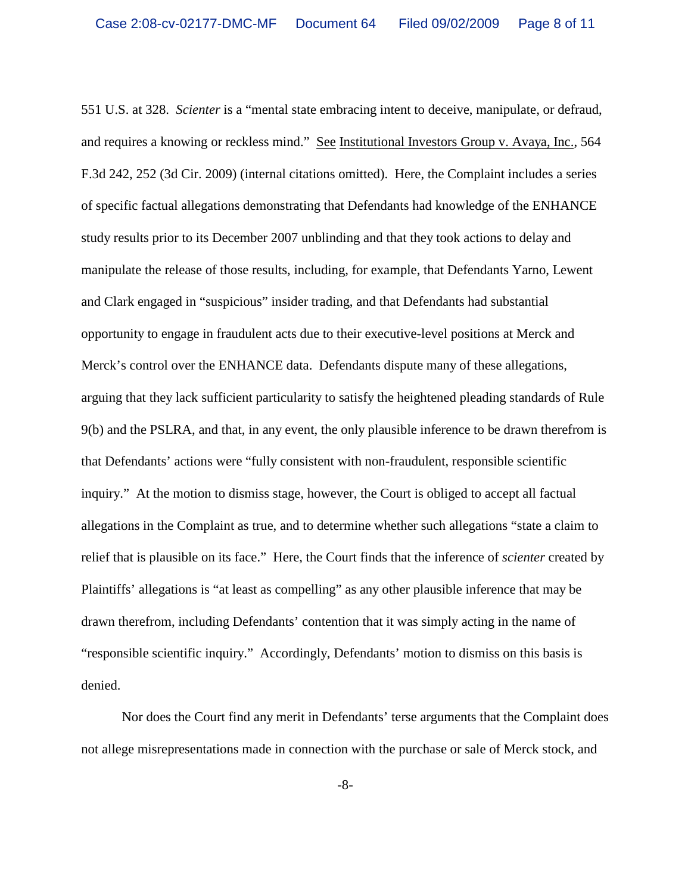551 U.S. at 328. *Scienter* is a "mental state embracing intent to deceive, manipulate, or defraud, and requires a knowing or reckless mind." See Institutional Investors Group v. Avaya, Inc., 564 F.3d 242, 252 (3d Cir. 2009) (internal citations omitted). Here, the Complaint includes a series of specific factual allegations demonstrating that Defendants had knowledge of the ENHANCE study results prior to its December 2007 unblinding and that they took actions to delay and manipulate the release of those results, including, for example, that Defendants Yarno, Lewent and Clark engaged in "suspicious" insider trading, and that Defendants had substantial opportunity to engage in fraudulent acts due to their executive-level positions at Merck and Merck's control over the ENHANCE data.Defendants dispute many of these allegations, arguing that they lack sufficient particularity to satisfy the heightened pleading standards of Rule 9(b) and the PSLRA, and that, in any event, the only plausible inference to be drawn therefrom is that Defendants' actions were "fully consistent with non-fraudulent, responsible scientific inquiry." At the motion to dismiss stage, however, the Court is obliged to accept all factual allegations in the Complaint as true, and to determine whether such allegations "state a claim to relief that is plausible on its face." Here, the Court finds that the inference of *scienter* created by Plaintiffs' allegations is "at least as compelling" as any other plausible inference that may be drawn therefrom, including Defendants' contention that it was simply acting in the name of "responsible scientific inquiry." Accordingly, Defendants' motion to dismiss on this basis is denied.

Nor does the Court find any merit in Defendants' terse arguments that the Complaint does not allege misrepresentations made in connection with the purchase or sale of Merck stock, and

-8-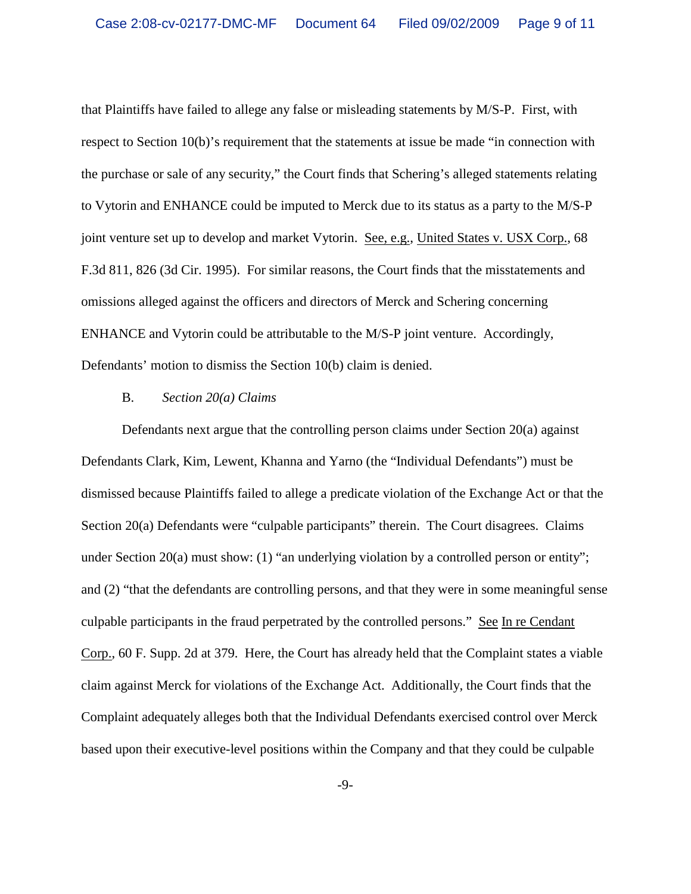that Plaintiffs have failed to allege any false or misleading statements by M/S-P. First, with respect to Section 10(b)'s requirement that the statements at issue be made "in connection with the purchase or sale of any security," the Court finds that Schering's alleged statements relating to Vytorin and ENHANCE could be imputed to Merck due to its status as a party to the M/S-P joint venture set up to develop and market Vytorin. See, e.g., United States v. USX Corp., 68 F.3d 811, 826 (3d Cir. 1995). For similar reasons, the Court finds that the misstatements and omissions alleged against the officers and directors of Merck and Schering concerning ENHANCE and Vytorin could be attributable to the M/S-P joint venture. Accordingly, Defendants' motion to dismiss the Section 10(b) claim is denied.

#### B. *Section 20(a) Claims*

Defendants next argue that the controlling person claims under Section 20(a) against Defendants Clark, Kim, Lewent, Khanna and Yarno (the "Individual Defendants") must be dismissed because Plaintiffs failed to allege a predicate violation of the Exchange Act or that the Section 20(a) Defendants were "culpable participants" therein. The Court disagrees. Claims under Section  $20(a)$  must show: (1) "an underlying violation by a controlled person or entity"; and (2) "that the defendants are controlling persons, and that they were in some meaningful sense culpable participants in the fraud perpetrated by the controlled persons." See In re Cendant Corp., 60 F. Supp. 2d at 379. Here, the Court has already held that the Complaint states a viable claim against Merck for violations of the Exchange Act. Additionally, the Court finds that the Complaint adequately alleges both that the Individual Defendants exercised control over Merck based upon their executive-level positions within the Company and that they could be culpable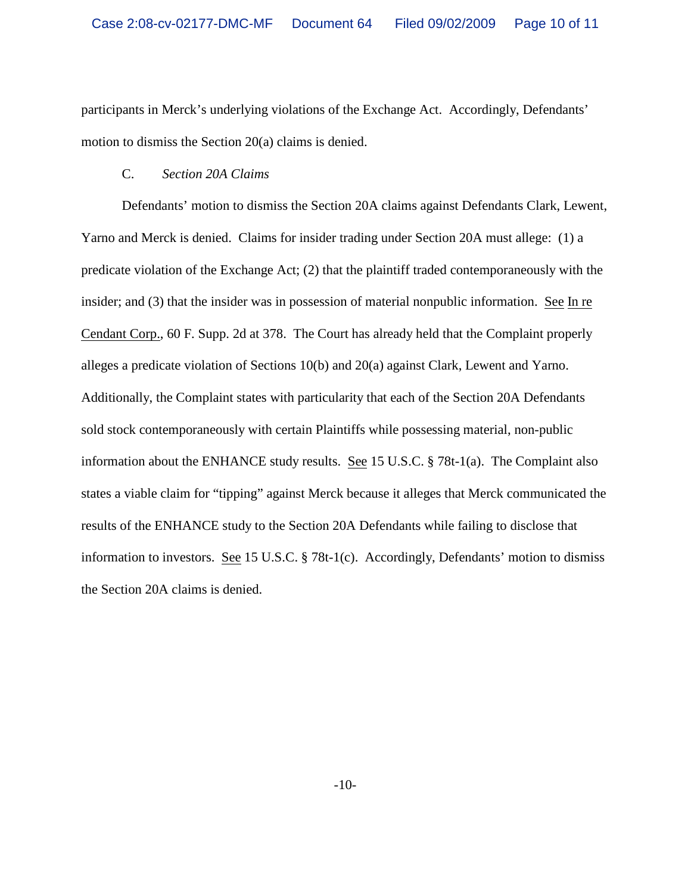participants in Merck's underlying violations of the Exchange Act. Accordingly, Defendants' motion to dismiss the Section 20(a) claims is denied.

## C. *Section 20A Claims*

Defendants' motion to dismiss the Section 20A claims against Defendants Clark, Lewent, Yarno and Merck is denied. Claims for insider trading under Section 20A must allege: (1) a predicate violation of the Exchange Act; (2) that the plaintiff traded contemporaneously with the insider; and (3) that the insider was in possession of material nonpublic information. See In re Cendant Corp., 60 F. Supp. 2d at 378. The Court has already held that the Complaint properly alleges a predicate violation of Sections 10(b) and 20(a) against Clark, Lewent and Yarno. Additionally, the Complaint states with particularity that each of the Section 20A Defendants sold stock contemporaneously with certain Plaintiffs while possessing material, non-public information about the ENHANCE study results. See 15 U.S.C. § 78t-1(a). The Complaint also states a viable claim for "tipping" against Merck because it alleges that Merck communicated the results of the ENHANCE study to the Section 20A Defendants while failing to disclose that information to investors. See 15 U.S.C. § 78t-1(c). Accordingly, Defendants' motion to dismiss the Section 20A claims is denied.